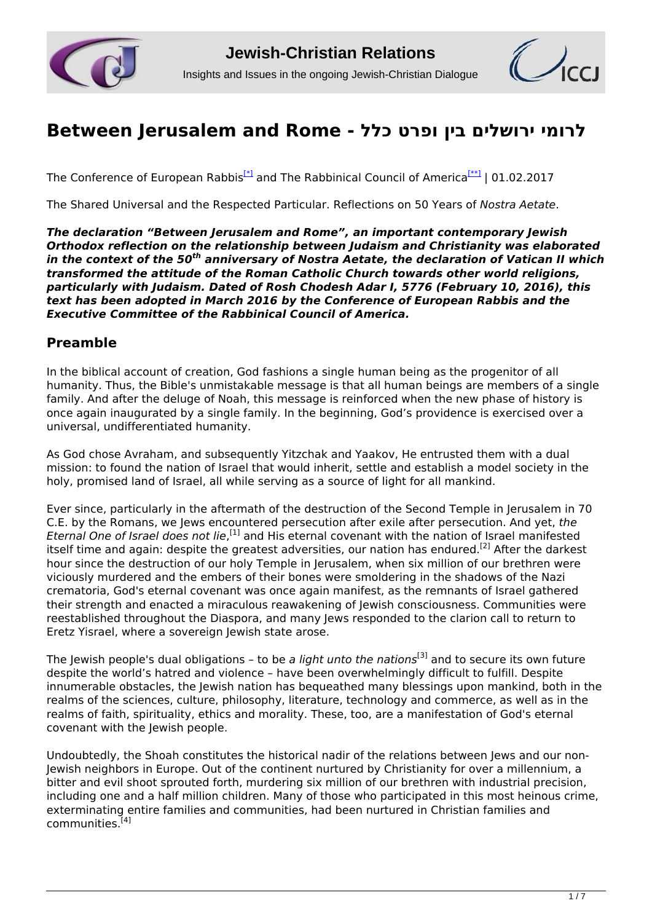



# **[לרומי ירושלים בין ופרט כלל - Rome and Jerusalem Between](http://www.jcrelations.net/Between_Jerusalem_and_Rome_-.5580.0.html?pdf=1)**

The Conference of European Rabbis<sup>[\*]</sup> and The Rabbinical Council of America<sup>[\*\*]</sup> | 01.02.2017

The Shared Universal and the Respected Particular. Reflections on 50 Years of *Nostra Aetate*.

*The declaration "Between Jerusalem and Rome", an important contemporary Jewish Orthodox reflection on the relationship between Judaism and Christianity was elaborated in the context of the 50th anniversary of Nostra Aetate, the declaration of Vatican II which transformed the attitude of the Roman Catholic Church towards other world religions, particularly with Judaism. Dated of Rosh Chodesh Adar I, 5776 (February 10, 2016), this text has been adopted in March 2016 by the Conference of European Rabbis and the Executive Committee of the Rabbinical Council of America.* 

#### **Preamble**

In the biblical account of creation, God fashions a single human being as the progenitor of all humanity. Thus, the Bible's unmistakable message is that all human beings are members of a single family. And after the deluge of Noah, this message is reinforced when the new phase of history is once again inaugurated by a single family. In the beginning, God's providence is exercised over a universal, undifferentiated humanity.

As God chose Avraham, and subsequently Yitzchak and Yaakov, He entrusted them with a dual mission: to found the nation of Israel that would inherit, settle and establish a model society in the holy, promised land of Israel, all while serving as a source of light for all mankind.

Ever since, particularly in the aftermath of the destruction of the Second Temple in Jerusalem in 70 C.E. by the Romans, we Jews encountered persecution after exile after persecution. And yet, *the* Eternal One of Israel does not lie,<sup>[1]</sup> and His eternal covenant with the nation of Israel manifested itself time and again: despite the greatest adversities, our nation has endured.<sup>[2]</sup> After the darkest hour since the destruction of our holy Temple in Jerusalem, when six million of our brethren were viciously murdered and the embers of their bones were smoldering in the shadows of the Nazi crematoria, God's eternal covenant was once again manifest, as the remnants of Israel gathered their strength and enacted a miraculous reawakening of Jewish consciousness. Communities were reestablished throughout the Diaspora, and many Jews responded to the clarion call to return to Eretz Yisrael, where a sovereign Jewish state arose.

The Jewish people's dual obligations – to be *a light unto the nations*[3] and to secure its own future despite the world's hatred and violence – have been overwhelmingly difficult to fulfill. Despite innumerable obstacles, the Jewish nation has bequeathed many blessings upon mankind, both in the realms of the sciences, culture, philosophy, literature, technology and commerce, as well as in the realms of faith, spirituality, ethics and morality. These, too, are a manifestation of God's eternal covenant with the Jewish people.

Undoubtedly, the Shoah constitutes the historical nadir of the relations between Jews and our non-Jewish neighbors in Europe. Out of the continent nurtured by Christianity for over a millennium, a bitter and evil shoot sprouted forth, murdering six million of our brethren with industrial precision, including one and a half million children. Many of those who participated in this most heinous crime, exterminating entire families and communities, had been nurtured in Christian families and  $commu$ nities.<sup>[4]</sup>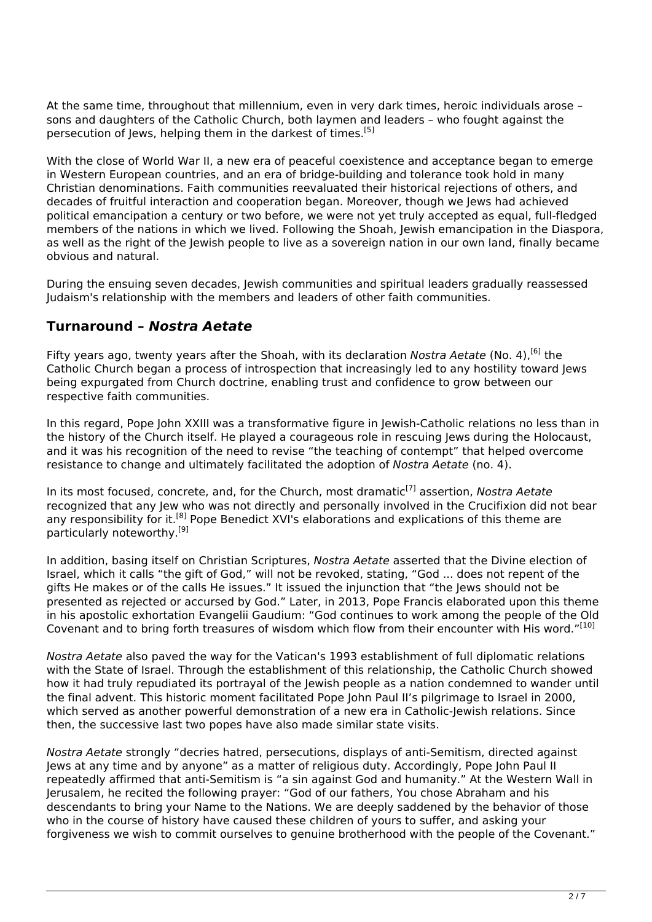At the same time, throughout that millennium, even in very dark times, heroic individuals arose – sons and daughters of the Catholic Church, both laymen and leaders – who fought against the persecution of Jews, helping them in the darkest of times.<sup>[5]</sup>

With the close of World War II, a new era of peaceful coexistence and acceptance began to emerge in Western European countries, and an era of bridge-building and tolerance took hold in many Christian denominations. Faith communities reevaluated their historical rejections of others, and decades of fruitful interaction and cooperation began. Moreover, though we Jews had achieved political emancipation a century or two before, we were not yet truly accepted as equal, full-fledged members of the nations in which we lived. Following the Shoah, Jewish emancipation in the Diaspora, as well as the right of the Jewish people to live as a sovereign nation in our own land, finally became obvious and natural.

During the ensuing seven decades, Jewish communities and spiritual leaders gradually reassessed Judaism's relationship with the members and leaders of other faith communities.

## **Turnaround –** *Nostra Aetate*

Fifty years ago, twenty years after the Shoah, with its declaration *Nostra Aetate* (No. 4),[6] the Catholic Church began a process of introspection that increasingly led to any hostility toward Jews being expurgated from Church doctrine, enabling trust and confidence to grow between our respective faith communities.

In this regard, Pope John XXIII was a transformative figure in Jewish-Catholic relations no less than in the history of the Church itself. He played a courageous role in rescuing Jews during the Holocaust, and it was his recognition of the need to revise "the teaching of contempt" that helped overcome resistance to change and ultimately facilitated the adoption of *Nostra Aetate* (no. 4).

In its most focused, concrete, and, for the Church, most dramatic<sup>[7]</sup> assertion, *Nostra Aetate* recognized that any Jew who was not directly and personally involved in the Crucifixion did not bear any responsibility for it.<sup>[8]</sup> Pope Benedict XVI's elaborations and explications of this theme are particularly noteworthy.[9]

In addition, basing itself on Christian Scriptures, *Nostra Aetate* asserted that the Divine election of Israel, which it calls "the gift of God," will not be revoked, stating, "God ... does not repent of the gifts He makes or of the calls He issues." It issued the injunction that "the Jews should not be presented as rejected or accursed by God." Later, in 2013, Pope Francis elaborated upon this theme in his apostolic exhortation Evangelii Gaudium: "God continues to work among the people of the Old Covenant and to bring forth treasures of wisdom which flow from their encounter with His word."<sup>[10]</sup>

*Nostra Aetate* also paved the way for the Vatican's 1993 establishment of full diplomatic relations with the State of Israel. Through the establishment of this relationship, the Catholic Church showed how it had truly repudiated its portrayal of the Jewish people as a nation condemned to wander until the final advent. This historic moment facilitated Pope John Paul II's pilgrimage to Israel in 2000, which served as another powerful demonstration of a new era in Catholic-Jewish relations. Since then, the successive last two popes have also made similar state visits.

*Nostra Aetate* strongly "decries hatred, persecutions, displays of anti-Semitism, directed against Jews at any time and by anyone" as a matter of religious duty. Accordingly, Pope John Paul II repeatedly affirmed that anti-Semitism is "a sin against God and humanity." At the Western Wall in Jerusalem, he recited the following prayer: "God of our fathers, You chose Abraham and his descendants to bring your Name to the Nations. We are deeply saddened by the behavior of those who in the course of history have caused these children of yours to suffer, and asking your forgiveness we wish to commit ourselves to genuine brotherhood with the people of the Covenant."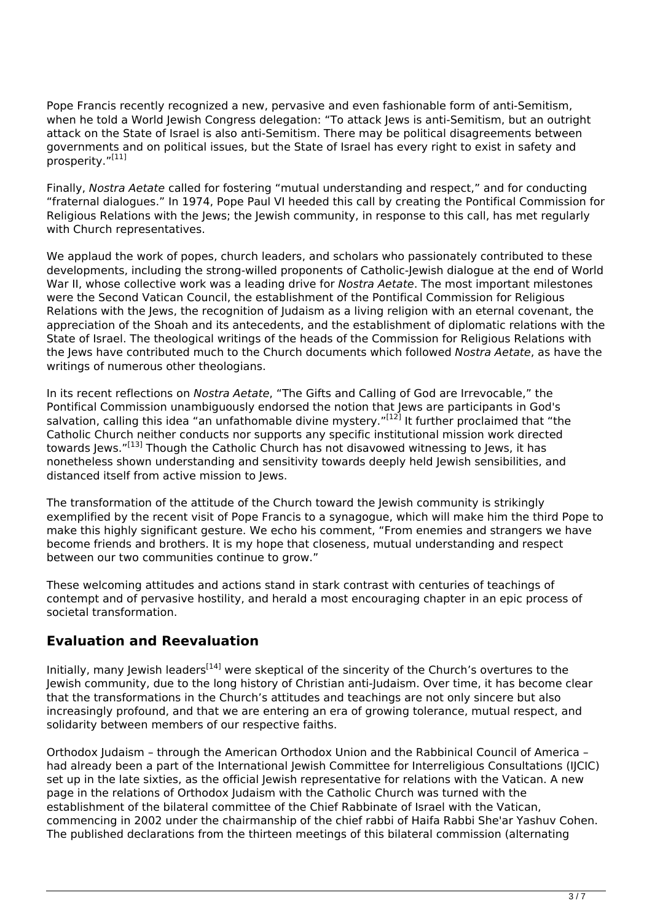Pope Francis recently recognized a new, pervasive and even fashionable form of anti-Semitism, when he told a World Jewish Congress delegation: "To attack Jews is anti-Semitism, but an outright attack on the State of Israel is also anti-Semitism. There may be political disagreements between governments and on political issues, but the State of Israel has every right to exist in safety and prosperity."[11]

Finally, *Nostra Aetate* called for fostering "mutual understanding and respect," and for conducting "fraternal dialogues." In 1974, Pope Paul VI heeded this call by creating the Pontifical Commission for Religious Relations with the Jews; the Jewish community, in response to this call, has met regularly with Church representatives.

We applaud the work of popes, church leaders, and scholars who passionately contributed to these developments, including the strong-willed proponents of Catholic-Jewish dialogue at the end of World War II, whose collective work was a leading drive for *Nostra Aetate*. The most important milestones were the Second Vatican Council, the establishment of the Pontifical Commission for Religious Relations with the Jews, the recognition of Judaism as a living religion with an eternal covenant, the appreciation of the Shoah and its antecedents, and the establishment of diplomatic relations with the State of Israel. The theological writings of the heads of the Commission for Religious Relations with the Jews have contributed much to the Church documents which followed *Nostra Aetate*, as have the writings of numerous other theologians.

In its recent reflections on *Nostra Aetate*, "The Gifts and Calling of God are Irrevocable," the Pontifical Commission unambiguously endorsed the notion that Jews are participants in God's salvation, calling this idea "an unfathomable divine mystery."<sup>[12]</sup> It further proclaimed that "the Catholic Church neither conducts nor supports any specific institutional mission work directed towards Jews."<sup>[13]</sup> Though the Catholic Church has not disavowed witnessing to Jews, it has nonetheless shown understanding and sensitivity towards deeply held Jewish sensibilities, and distanced itself from active mission to Jews.

The transformation of the attitude of the Church toward the Jewish community is strikingly exemplified by the recent visit of Pope Francis to a synagogue, which will make him the third Pope to make this highly significant gesture. We echo his comment, "From enemies and strangers we have become friends and brothers. It is my hope that closeness, mutual understanding and respect between our two communities continue to grow."

These welcoming attitudes and actions stand in stark contrast with centuries of teachings of contempt and of pervasive hostility, and herald a most encouraging chapter in an epic process of societal transformation.

## **Evaluation and Reevaluation**

Initially, many Jewish leaders<sup>[14]</sup> were skeptical of the sincerity of the Church's overtures to the Jewish community, due to the long history of Christian anti-Judaism. Over time, it has become clear that the transformations in the Church's attitudes and teachings are not only sincere but also increasingly profound, and that we are entering an era of growing tolerance, mutual respect, and solidarity between members of our respective faiths.

Orthodox Judaism – through the American Orthodox Union and the Rabbinical Council of America – had already been a part of the International lewish Committee for Interreligious Consultations (IICIC) set up in the late sixties, as the official Jewish representative for relations with the Vatican. A new page in the relations of Orthodox Judaism with the Catholic Church was turned with the establishment of the bilateral committee of the Chief Rabbinate of Israel with the Vatican, commencing in 2002 under the chairmanship of the chief rabbi of Haifa Rabbi She'ar Yashuv Cohen. The published declarations from the thirteen meetings of this bilateral commission (alternating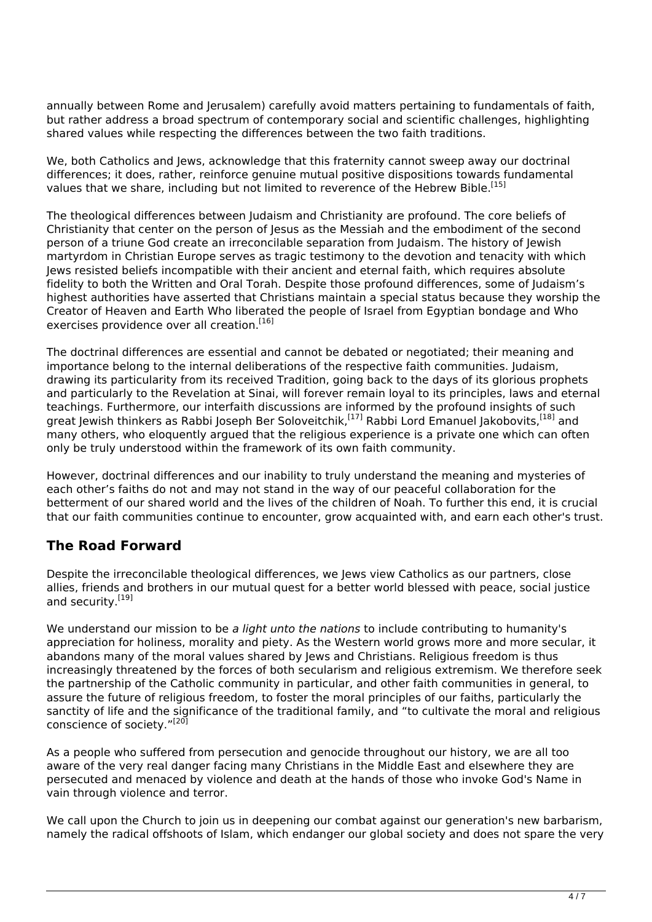annually between Rome and Jerusalem) carefully avoid matters pertaining to fundamentals of faith, but rather address a broad spectrum of contemporary social and scientific challenges, highlighting shared values while respecting the differences between the two faith traditions.

We, both Catholics and Jews, acknowledge that this fraternity cannot sweep away our doctrinal differences; it does, rather, reinforce genuine mutual positive dispositions towards fundamental values that we share, including but not limited to reverence of the Hebrew Bible.<sup>[15]</sup>

The theological differences between Judaism and Christianity are profound. The core beliefs of Christianity that center on the person of Jesus as the Messiah and the embodiment of the second person of a triune God create an irreconcilable separation from Judaism. The history of Jewish martyrdom in Christian Europe serves as tragic testimony to the devotion and tenacity with which Jews resisted beliefs incompatible with their ancient and eternal faith, which requires absolute fidelity to both the Written and Oral Torah. Despite those profound differences, some of Judaism's highest authorities have asserted that Christians maintain a special status because they worship the Creator of Heaven and Earth Who liberated the people of Israel from Egyptian bondage and Who exercises providence over all creation.<sup>[16]</sup>

The doctrinal differences are essential and cannot be debated or negotiated; their meaning and importance belong to the internal deliberations of the respective faith communities. Judaism, drawing its particularity from its received Tradition, going back to the days of its glorious prophets and particularly to the Revelation at Sinai, will forever remain loyal to its principles, laws and eternal teachings. Furthermore, our interfaith discussions are informed by the profound insights of such great Jewish thinkers as Rabbi Joseph Ber Soloveitchik,<sup>[17]</sup> Rabbi Lord Emanuel Jakobovits,<sup>[18]</sup> and many others, who eloquently argued that the religious experience is a private one which can often only be truly understood within the framework of its own faith community.

However, doctrinal differences and our inability to truly understand the meaning and mysteries of each other's faiths do not and may not stand in the way of our peaceful collaboration for the betterment of our shared world and the lives of the children of Noah. To further this end, it is crucial that our faith communities continue to encounter, grow acquainted with, and earn each other's trust.

## **The Road Forward**

Despite the irreconcilable theological differences, we Jews view Catholics as our partners, close allies, friends and brothers in our mutual quest for a better world blessed with peace, social justice and security.<sup>[19]</sup>

We understand our mission to be *a light unto the nations* to include contributing to humanity's appreciation for holiness, morality and piety. As the Western world grows more and more secular, it abandons many of the moral values shared by Jews and Christians. Religious freedom is thus increasingly threatened by the forces of both secularism and religious extremism. We therefore seek the partnership of the Catholic community in particular, and other faith communities in general, to assure the future of religious freedom, to foster the moral principles of our faiths, particularly the sanctity of life and the significance of the traditional family, and "to cultivate the moral and religious conscience of society."<sup>[20]</sup>

As a people who suffered from persecution and genocide throughout our history, we are all too aware of the very real danger facing many Christians in the Middle East and elsewhere they are persecuted and menaced by violence and death at the hands of those who invoke God's Name in vain through violence and terror.

We call upon the Church to join us in deepening our combat against our generation's new barbarism, namely the radical offshoots of Islam, which endanger our global society and does not spare the very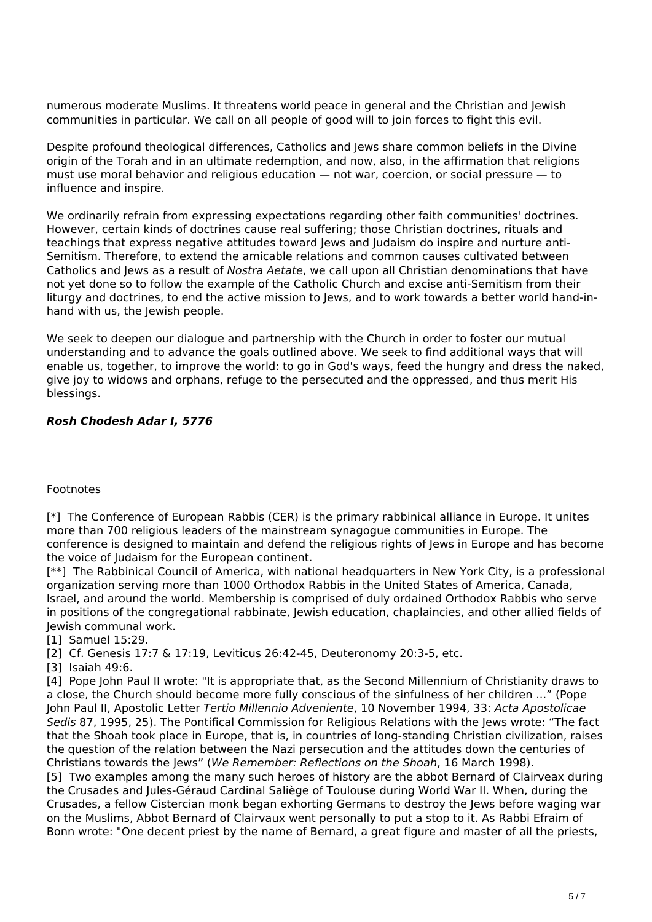numerous moderate Muslims. It threatens world peace in general and the Christian and Jewish communities in particular. We call on all people of good will to join forces to fight this evil.

Despite profound theological differences, Catholics and Jews share common beliefs in the Divine origin of the Torah and in an ultimate redemption, and now, also, in the affirmation that religions must use moral behavior and religious education — not war, coercion, or social pressure — to influence and inspire.

We ordinarily refrain from expressing expectations regarding other faith communities' doctrines. However, certain kinds of doctrines cause real suffering; those Christian doctrines, rituals and teachings that express negative attitudes toward Jews and Judaism do inspire and nurture anti-Semitism. Therefore, to extend the amicable relations and common causes cultivated between Catholics and Jews as a result of *Nostra Aetate*, we call upon all Christian denominations that have not yet done so to follow the example of the Catholic Church and excise anti-Semitism from their liturgy and doctrines, to end the active mission to lews, and to work towards a better world hand-inhand with us, the Jewish people.

We seek to deepen our dialogue and partnership with the Church in order to foster our mutual understanding and to advance the goals outlined above. We seek to find additional ways that will enable us, together, to improve the world: to go in God's ways, feed the hungry and dress the naked, give joy to widows and orphans, refuge to the persecuted and the oppressed, and thus merit His blessings.

#### *Rosh Chodesh Adar I, 5776*

#### Footnotes

[\*] The Conference of European Rabbis (CER) is the primary rabbinical alliance in Europe. It unites more than 700 religious leaders of the mainstream synagogue communities in Europe. The conference is designed to maintain and defend the religious rights of Jews in Europe and has become the voice of Judaism for the European continent.

[\*\*] The Rabbinical Council of America, with national headquarters in New York City, is a professional organization serving more than 1000 Orthodox Rabbis in the United States of America, Canada, Israel, and around the world. Membership is comprised of duly ordained Orthodox Rabbis who serve in positions of the congregational rabbinate, Jewish education, chaplaincies, and other allied fields of Jewish communal work.

[1] Samuel 15:29.

[2] Cf. Genesis 17:7 & 17:19, Leviticus 26:42-45, Deuteronomy 20:3-5, etc.

[3] Isaiah 49:6.

[4] Pope John Paul II wrote: "It is appropriate that, as the Second Millennium of Christianity draws to a close, the Church should become more fully conscious of the sinfulness of her children ..." (Pope John Paul II, Apostolic Letter *Tertio Millennio Adveniente*, 10 November 1994, 33: *Acta Apostolicae Sedis* 87, 1995, 25). The Pontifical Commission for Religious Relations with the Jews wrote: "The fact that the Shoah took place in Europe, that is, in countries of long-standing Christian civilization, raises the question of the relation between the Nazi persecution and the attitudes down the centuries of Christians towards the Jews" (*We Remember: Reflections on the Shoah*, 16 March 1998).

[5] Two examples among the many such heroes of history are the abbot Bernard of Clairveax during the Crusades and Jules-Géraud Cardinal Saliège of Toulouse during World War II. When, during the Crusades, a fellow Cistercian monk began exhorting Germans to destroy the Jews before waging war on the Muslims, Abbot Bernard of Clairvaux went personally to put a stop to it. As Rabbi Efraim of Bonn wrote: "One decent priest by the name of Bernard, a great figure and master of all the priests,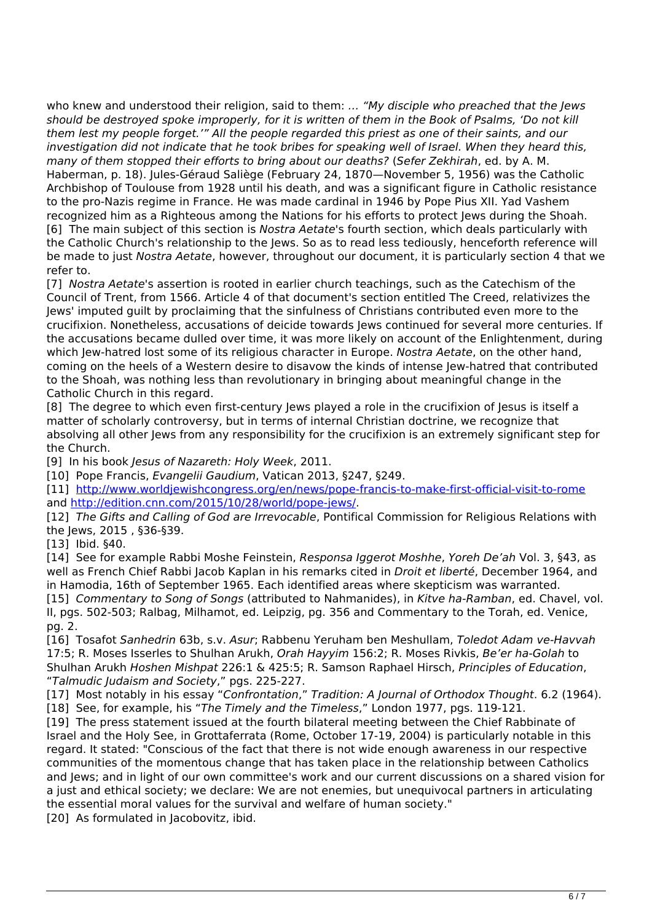who knew and understood their religion, said to them: *… "My disciple who preached that the Jews should be destroyed spoke improperly, for it is written of them in the Book of Psalms, 'Do not kill them lest my people forget.'" All the people regarded this priest as one of their saints, and our investigation did not indicate that he took bribes for speaking well of Israel. When they heard this, many of them stopped their efforts to bring about our deaths?* (*Sefer Zekhirah*, ed. by A. M. Haberman, p. 18). Jules-Géraud Saliège (February 24, 1870—November 5, 1956) was the Catholic Archbishop of Toulouse from 1928 until his death, and was a significant figure in Catholic resistance to the pro-Nazis regime in France. He was made cardinal in 1946 by Pope Pius XII. Yad Vashem recognized him as a Righteous among the Nations for his efforts to protect Jews during the Shoah. [6] The main subject of this section is *Nostra Aetate*'s fourth section, which deals particularly with the Catholic Church's relationship to the Jews. So as to read less tediously, henceforth reference will be made to just *Nostra Aetate*, however, throughout our document, it is particularly section 4 that we refer to.

[7] *Nostra Aetate*'s assertion is rooted in earlier church teachings, such as the Catechism of the Council of Trent, from 1566. Article 4 of that document's section entitled The Creed, relativizes the Jews' imputed guilt by proclaiming that the sinfulness of Christians contributed even more to the crucifixion. Nonetheless, accusations of deicide towards Jews continued for several more centuries. If the accusations became dulled over time, it was more likely on account of the Enlightenment, during which Jew-hatred lost some of its religious character in Europe. *Nostra Aetate*, on the other hand, coming on the heels of a Western desire to disavow the kinds of intense Jew-hatred that contributed to the Shoah, was nothing less than revolutionary in bringing about meaningful change in the Catholic Church in this regard.

[8] The degree to which even first-century Jews played a role in the crucifixion of Jesus is itself a matter of scholarly controversy, but in terms of internal Christian doctrine, we recognize that absolving all other Jews from any responsibility for the crucifixion is an extremely significant step for the Church.

[9] In his book *Jesus of Nazareth: Holy Week*, 2011.

[10] Pope Francis, *Evangelii Gaudium*, Vatican 2013, §247, §249.

[11] <http://www.worldjewishcongress.org/en/news/pope-francis-to-make-first-official-visit-to-rome> and <http://edition.cnn.com/2015/10/28/world/pope-jews/>.

[12] *The Gifts and Calling of God are Irrevocable*, Pontifical Commission for Religious Relations with the Jews, 2015 , §36-§39.

[13] Ibid. §40.

[14] See for example Rabbi Moshe Feinstein, *Responsa Iggerot Moshhe*, *Yoreh De'ah* Vol. 3, §43, as well as French Chief Rabbi Jacob Kaplan in his remarks cited in *Droit et liberté*, December 1964, and in Hamodia, 16th of September 1965. Each identified areas where skepticism was warranted.

[15] *Commentary to Song of Songs* (attributed to Nahmanides), in *Kitve ha-Ramban*, ed. Chavel, vol. II, pgs. 502-503; Ralbag, Milhamot, ed. Leipzig, pg. 356 and Commentary to the Torah, ed. Venice, pg. 2.

[16] Tosafot *Sanhedrin* 63b, s.v. *Asur*; Rabbenu Yeruham ben Meshullam, *Toledot Adam ve-Havvah* 17:5; R. Moses Isserles to Shulhan Arukh, *Orah Hayyim* 156:2; R. Moses Rivkis, *Be'er ha-Golah* to Shulhan Arukh *Hoshen Mishpat* 226:1 & 425:5; R. Samson Raphael Hirsch, *Principles of Education*, "*Talmudic Judaism and Society*," pgs. 225-227.

[17] Most notably in his essay "*Confrontation*," *Tradition: A Journal of Orthodox Thought*. 6.2 (1964). [18] See, for example, his "*The Timely and the Timeless*," London 1977, pgs. 119-121.

[19] The press statement issued at the fourth bilateral meeting between the Chief Rabbinate of Israel and the Holy See, in Grottaferrata (Rome, October 17-19, 2004) is particularly notable in this regard. It stated: "Conscious of the fact that there is not wide enough awareness in our respective communities of the momentous change that has taken place in the relationship between Catholics and Jews; and in light of our own committee's work and our current discussions on a shared vision for a just and ethical society; we declare: We are not enemies, but unequivocal partners in articulating the essential moral values for the survival and welfare of human society."

[20] As formulated in Jacobovitz, ibid.